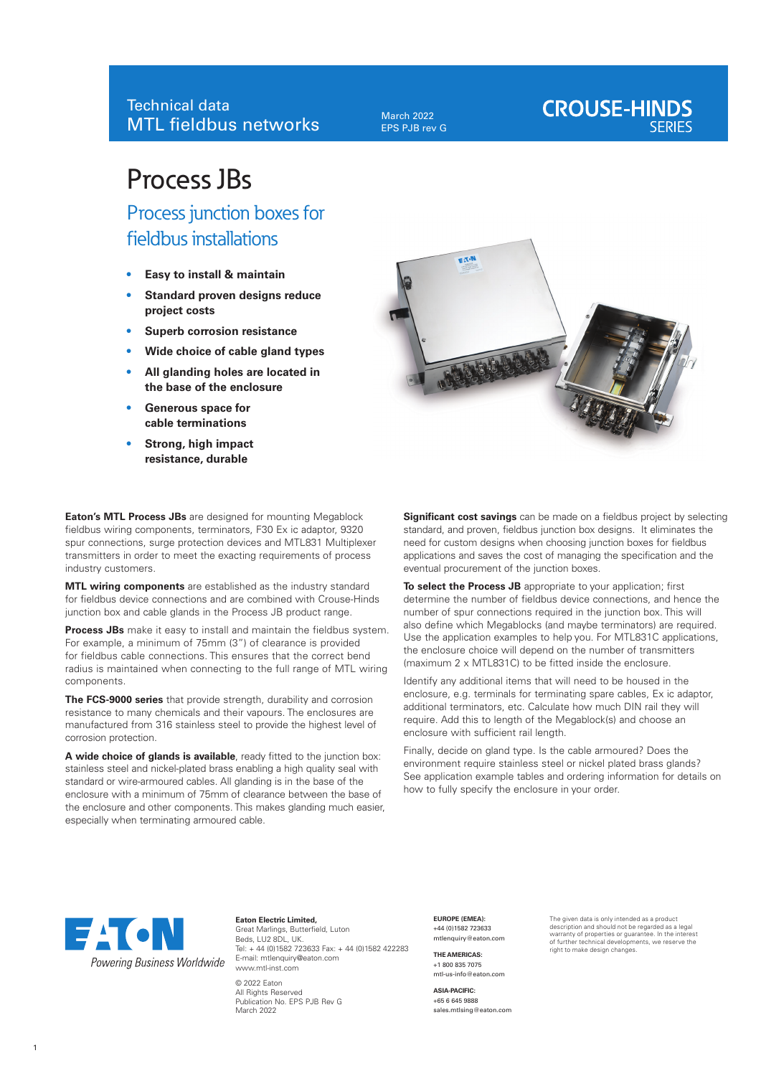March 2022 EPS PJB rev G

# **CROUSE-HINDS**

# Process JBs

Process junction boxes for fieldbus installations

- **• Easy to install & maintain**
- **• Standard proven designs reduce project costs**
- **• Superb corrosion resistance**
- **• Wide choice of cable gland types**
- **• All glanding holes are located in the base of the enclosure**
- **• Generous space for cable terminations**
- **• Strong, high impact resistance, durable**

**Eaton's MTL Process JBs** are designed for mounting Megablock fieldbus wiring components, terminators, F30 Ex ic adaptor, 9320 spur connections, surge protection devices and MTL831 Multiplexer transmitters in order to meet the exacting requirements of process industry customers.

**MTL wiring components** are established as the industry standard for fieldbus device connections and are combined with Crouse-Hinds junction box and cable glands in the Process JB product range.

**Process JBs** make it easy to install and maintain the fieldbus system. For example, a minimum of 75mm (3") of clearance is provided for fieldbus cable connections. This ensures that the correct bend radius is maintained when connecting to the full range of MTL wiring components.

**The FCS-9000 series** that provide strength, durability and corrosion resistance to many chemicals and their vapours. The enclosures are manufactured from 316 stainless steel to provide the highest level of corrosion protection.

**A wide choice of glands is available**, ready fitted to the junction box: stainless steel and nickel-plated brass enabling a high quality seal with standard or wire-armoured cables. All glanding is in the base of the enclosure with a minimum of 75mm of clearance between the base of the enclosure and other components. This makes glanding much easier, especially when terminating armoured cable.



**Significant cost savings** can be made on a fieldbus project by selecting standard, and proven, fieldbus junction box designs. It eliminates the need for custom designs when choosing junction boxes for fieldbus applications and saves the cost of managing the specification and the eventual procurement of the junction boxes.

**To select the Process JB** appropriate to your application; first determine the number of fieldbus device connections, and hence the number of spur connections required in the junction box. This will also define which Megablocks (and maybe terminators) are required. Use the application examples to help you. For MTL831C applications, the enclosure choice will depend on the number of transmitters (maximum 2 x MTL831C) to be fitted inside the enclosure.

Identify any additional items that will need to be housed in the enclosure, e.g. terminals for terminating spare cables, Ex ic adaptor, additional terminators, etc. Calculate how much DIN rail they will require. Add this to length of the Megablock(s) and choose an enclosure with sufficient rail length.

Finally, decide on gland type. Is the cable armoured? Does the environment require stainless steel or nickel plated brass glands? See application example tables and ordering information for details on how to fully specify the enclosure in your order.



**Eaton Electric Limited,** Great Marlings, Butterfield, Luton Beds, LU2 8DL, UK. Tel: + 44 (0)1582 723633 Fax: + 44 (0)1582 422283 E-mail: mtlenquiry@eaton.com www.mtl-inst.com

© 2022 Eaton All Rights Reserved Publication No. EPS PJB Rev G March 2022

**EUROPE (EMEA):** +44 (0)1582 723633 mtlenquiry@eaton.com

**THE AMERICAS:** +1 800 835 7075 mtl-us-info@eaton.com

**ASIA-PACIFIC:** +65 6 645 9888 sales.mtlsing@eaton.com The given data is only intended as a product description and should not be regarded as a legal warranty of properties or guarantee. In the interest of further technical developments, we reserve the right to make design changes.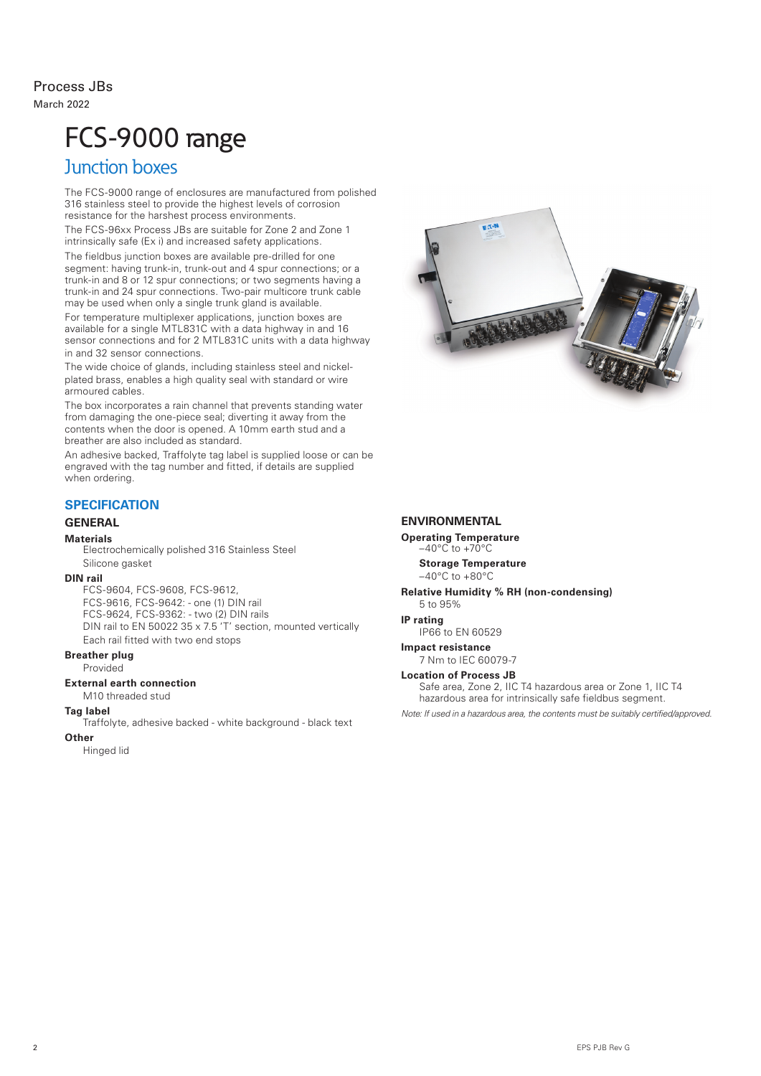# Process JBs March 2022

# FCS-9000 range

# Junction boxes

The FCS-9000 range of enclosures are manufactured from polished 316 stainless steel to provide the highest levels of corrosion resistance for the harshest process environments.

The FCS-96xx Process JBs are suitable for Zone 2 and Zone 1 intrinsically safe (Ex i) and increased safety applications.

The fieldbus junction boxes are available pre-drilled for one segment: having trunk-in, trunk-out and 4 spur connections; or a trunk-in and 8 or 12 spur connections; or two segments having a trunk-in and 24 spur connections. Two-pair multicore trunk cable may be used when only a single trunk gland is available.

For temperature multiplexer applications, junction boxes are available for a single MTL831C with a data highway in and 16 sensor connections and for 2 MTL831C units with a data highway in and 32 sensor connections.

The wide choice of glands, including stainless steel and nickelplated brass, enables a high quality seal with standard or wire armoured cables.

The box incorporates a rain channel that prevents standing water from damaging the one-piece seal; diverting it away from the contents when the door is opened. A 10mm earth stud and a breather are also included as standard.

An adhesive backed, Traffolyte tag label is supplied loose or can be engraved with the tag number and fitted, if details are supplied when ordering.

# **SPECIFICATION**

### **GENERAL**

#### **Materials**

Electrochemically polished 316 Stainless Steel Silicone gasket

### **DIN rail**

FCS-9604, FCS-9608, FCS-9612, FCS-9616, FCS-9642: - one (1) DIN rail FCS-9624, FCS-9362: - two (2) DIN rails DIN rail to EN 50022 35 x 7.5 'T' section, mounted vertically Each rail fitted with two end stops

### **Breather plug**

Provided

#### **External earth connection**

M10 threaded stud

#### **Tag label**

Traffolyte, adhesive backed - white background - black text

#### **Other**

Hinged lid



#### **ENVIRONMENTAL**

**Operating Temperature**   $-40^{\circ}$ C to  $+70^{\circ}$ C **Storage Temperature**

 $-40^{\circ}$ C to  $+80^{\circ}$ C

**Relative Humidity % RH (non-condensing)** 5 to 95%

**IP rating** 

IP66 to EN 60529

**Impact resistance** 7 Nm to IEC 60079-7

#### **Location of Process JB**

Safe area, Zone 2, IIC T4 hazardous area or Zone 1, IIC T4 hazardous area for intrinsically safe fieldbus segment.

*Note: If used in a hazardous area, the contents must be suitably certified/approved.*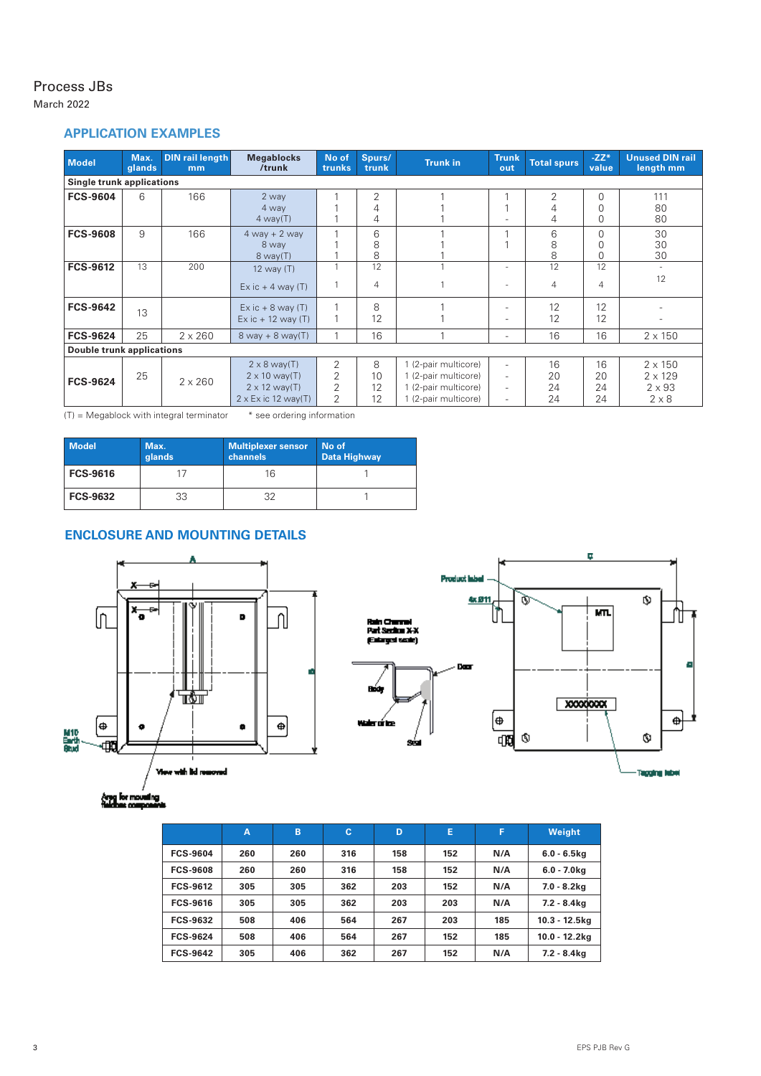# Process JBs

March 2022

# **APPLICATION EXAMPLES**

| <b>Model</b>                     | Max.<br>glands                   | <b>DIN rail length</b><br>mm | <b>Megablocks</b><br>/trunk                                                                       | No of<br>trunks  | Spurs/<br>trunk          | <b>Trunk in</b>                                                                              | <b>Trunk</b><br>out                                                                                          | <b>Total spurs</b>   | $-ZZ*$<br>value                  | <b>Unused DIN rail</b><br>length mm                               |
|----------------------------------|----------------------------------|------------------------------|---------------------------------------------------------------------------------------------------|------------------|--------------------------|----------------------------------------------------------------------------------------------|--------------------------------------------------------------------------------------------------------------|----------------------|----------------------------------|-------------------------------------------------------------------|
|                                  | <b>Single trunk applications</b> |                              |                                                                                                   |                  |                          |                                                                                              |                                                                                                              |                      |                                  |                                                                   |
| <b>FCS-9604</b>                  | 6                                | 166                          | 2 way<br>4 way<br>$4$ way $(T)$                                                                   |                  | $\overline{2}$<br>4<br>4 |                                                                                              |                                                                                                              | 2<br>4<br>4          | $\Omega$<br>$\Omega$<br>$\Omega$ | 111<br>80<br>80                                                   |
| <b>FCS-9608</b>                  | 9                                | 166                          | $4$ way + 2 way<br>8 way<br>$8$ way $(T)$                                                         |                  | 6<br>8<br>8              |                                                                                              |                                                                                                              | 6<br>8<br>8          | $\Omega$<br>$\Omega$<br>$\Omega$ | 30<br>30<br>30                                                    |
| <b>FCS-9612</b>                  | 13                               | 200                          | 12 way (T)<br>$Ex$ ic + 4 way (T)                                                                 |                  | 12<br>$\overline{4}$     | $\overline{A}$                                                                               |                                                                                                              | 12<br>4              | 12<br>4                          | $\sim$<br>12                                                      |
| <b>FCS-9642</b>                  | 13                               |                              | $Ex$ ic + 8 way $(T)$<br>$Ex$ ic + 12 way (T)                                                     |                  | 8<br>12                  |                                                                                              |                                                                                                              | 12<br>12             | 12<br>12                         |                                                                   |
| <b>FCS-9624</b>                  | 25                               | $2 \times 260$               | $8$ way + $8$ way(T)                                                                              |                  | 16                       |                                                                                              | $\overline{\phantom{0}}$                                                                                     | 16                   | 16                               | $2 \times 150$                                                    |
| <b>Double trunk applications</b> |                                  |                              |                                                                                                   |                  |                          |                                                                                              |                                                                                                              |                      |                                  |                                                                   |
| <b>FCS-9624</b>                  | 25                               | $2 \times 260$               | $2 \times 8$ way(T)<br>$2 \times 10$ way(T)<br>$2 \times 12$ way(T)<br>$2 \times Ex$ ic 12 way(T) | 2<br>2<br>2<br>2 | 8<br>10<br>12<br>12      | 1 (2-pair multicore)<br>1 (2-pair multicore)<br>1 (2-pair multicore)<br>1 (2-pair multicore) | $\overline{\phantom{a}}$<br>$\overline{\phantom{0}}$<br>$\overline{\phantom{0}}$<br>$\overline{\phantom{0}}$ | 16<br>20<br>24<br>24 | 16<br>20<br>24<br>24             | $2 \times 150$<br>$2 \times 129$<br>$2 \times 93$<br>$2 \times 8$ |

 $(T)$  = Megablock with integral terminator  $*$  see ordering information

| Model           | Max.<br>glands | <b>Multiplexer sensor</b><br>channels | No of<br><b>Data Highway</b> |
|-----------------|----------------|---------------------------------------|------------------------------|
| <b>FCS-9616</b> |                | 16                                    |                              |
| <b>FCS-9632</b> | 33             | 32                                    |                              |

# **ENCLOSURE AND MOUNTING DETAILS**





Areg for moveling<br>Telefons components

|                 | A   | B   | c   | D   | Е   | F   | <b>Weight</b>    |
|-----------------|-----|-----|-----|-----|-----|-----|------------------|
| <b>FCS-9604</b> | 260 | 260 | 316 | 158 | 152 | N/A | $6.0 - 6.5$ kg   |
| <b>FCS-9608</b> | 260 | 260 | 316 | 158 | 152 | N/A | $6.0 - 7.0$ kg   |
| <b>FCS-9612</b> | 305 | 305 | 362 | 203 | 152 | N/A | $7.0 - 8.2$ kg   |
| <b>FCS-9616</b> | 305 | 305 | 362 | 203 | 203 | N/A | $7.2 - 8.4$ kg   |
| <b>FCS-9632</b> | 508 | 406 | 564 | 267 | 203 | 185 | $10.3 - 12.5$ kg |
| <b>FCS-9624</b> | 508 | 406 | 564 | 267 | 152 | 185 | $10.0 - 12.2$ kg |
| <b>FCS-9642</b> | 305 | 406 | 362 | 267 | 152 | N/A | 7.2 - 8.4kg      |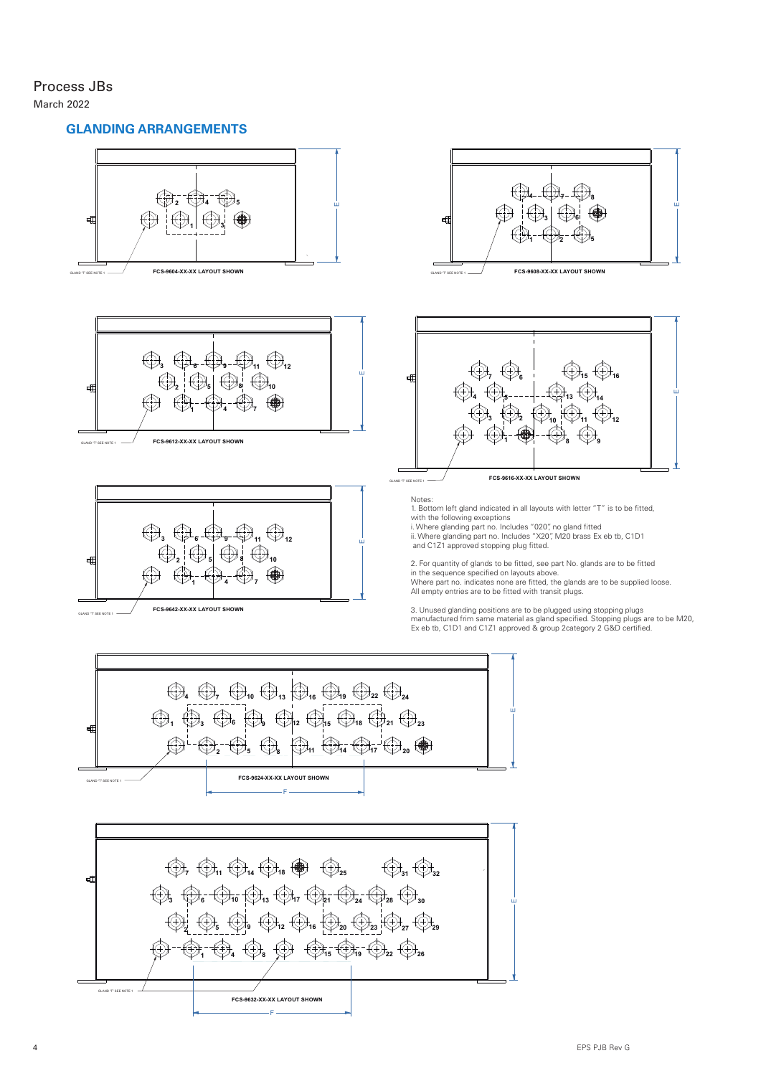# Process JBs March 2022

# **GLANDING ARRANGEMENTS**